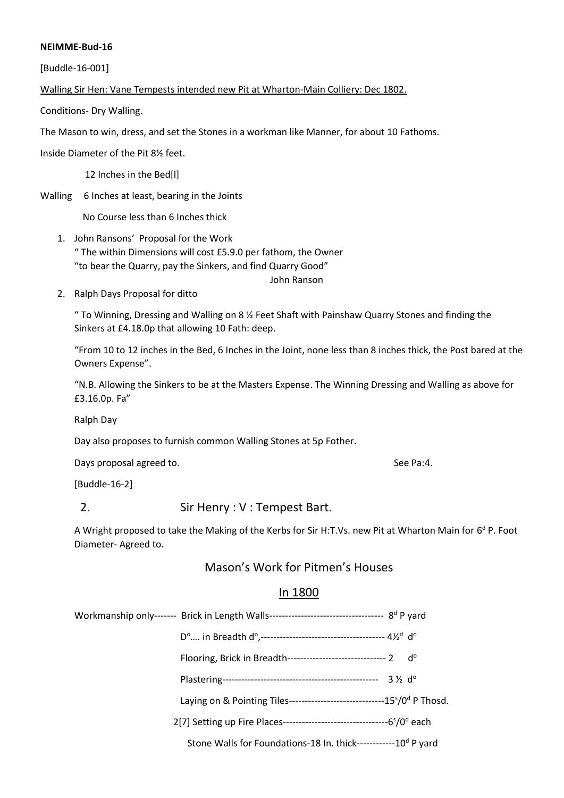#### **NEIMME-Bud-16**

[Buddle-16-001]

Walling Sir Hen: Vane Tempests intended new Pit at Wharton-Main Colliery: Dec 1802.

Conditions- Dry Walling.

The Mason to win, dress, and set the Stones in a workman like Manner, for about 10 Fathoms.

Inside Diameter of the Pit 8½ feet.

12 Inches in the Bed[l]

Walling 6 Inches at least, bearing in the Joints

No Course less than 6 Inches thick

1. John Ransons' Proposal for the Work " The within Dimensions will cost £5.9.0 per fathom, the Owner "to bear the Quarry, pay the Sinkers, and find Quarry Good"

John Ranson

2. Ralph Days Proposal for ditto

" To Winning, Dressing and Walling on 8 ½ Feet Shaft with Painshaw Quarry Stones and finding the Sinkers at £4.18.0p that allowing 10 Fath: deep.

"From 10 to 12 inches in the Bed, 6 Inches in the Joint, none less than 8 inches thick, the Post bared at the Owners Expense".

"N.B. Allowing the Sinkers to be at the Masters Expense. The Winning Dressing and Walling as above for £3.16.0p. Fa"

Ralph Day

Day also proposes to furnish common Walling Stones at 5p Fother.

Days proposal agreed to. See Pa:4.

[Buddle-16-2]

## 2. Sir Henry : V : Tempest Bart.

A Wright proposed to take the Making of the Kerbs for Sir H:T.Vs. new Pit at Wharton Main for 6<sup>d</sup> P. Foot Diameter- Agreed to.

## Mason's Work for Pitmen's Houses

## In 1800

Flooring, Brick in Breadth--------------------------------- 2 d°

Plastering------------------------------------------------- 3 ½ d<sup>o</sup>

Laying on & Pointing Tiles------------------------------15<sup>s</sup>/0<sup>d</sup> P Thosd.

2[7] Setting up Fire Places---------------------------------6 s /0<sup>d</sup> each

Stone Walls for Foundations-18 In. thick------------10<sup>d</sup> P yard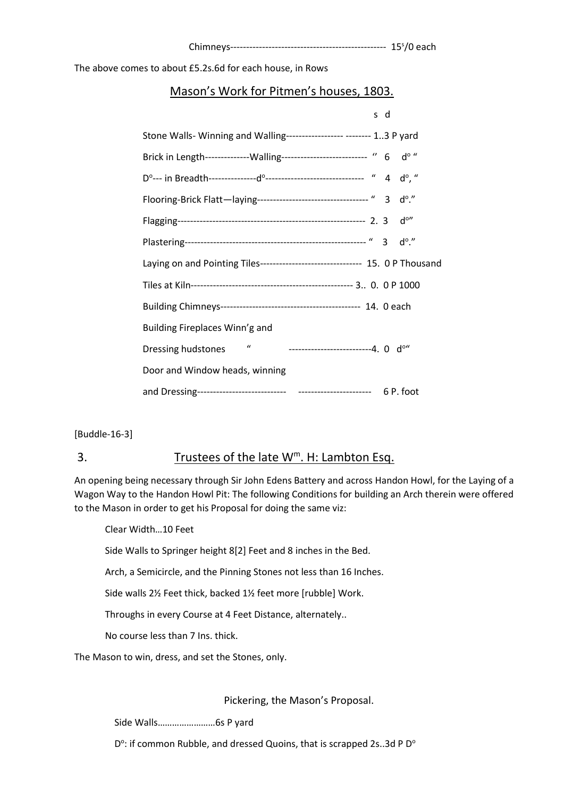The above comes to about £5.2s.6d for each house, in Rows

## Mason's Work for Pitmen's houses, 1803.

|                                                                                          | s d |                         |
|------------------------------------------------------------------------------------------|-----|-------------------------|
| Stone Walls- Winning and Walling------------------ -------- 13 P yard                    |     |                         |
| Brick in Length---------------Walling-------------------------- " 6 do "                 |     |                         |
|                                                                                          |     |                         |
| Flooring-Brick Flatt-laying---------------------------------- " 3 do."                   |     |                         |
|                                                                                          |     | $d^{\circ\prime\prime}$ |
|                                                                                          |     | $d_0$ .                 |
| Laying on and Pointing Tiles------------------------------- 15. 0 P Thousand             |     |                         |
|                                                                                          |     |                         |
|                                                                                          |     |                         |
| Building Fireplaces Winn'g and                                                           |     |                         |
| -------------------------4. 0 d <sup>o</sup> "<br>$\boldsymbol{u}$<br>Dressing hudstones |     |                         |
| Door and Window heads, winning                                                           |     |                         |
|                                                                                          |     |                         |

[Buddle-16-3]

## 3. Trustees of the late  $W^m$ . H: Lambton Esq.

An opening being necessary through Sir John Edens Battery and across Handon Howl, for the Laying of a Wagon Way to the Handon Howl Pit: The following Conditions for building an Arch therein were offered to the Mason in order to get his Proposal for doing the same viz:

Clear Width…10 Feet

Side Walls to Springer height 8[2] Feet and 8 inches in the Bed.

Arch, a Semicircle, and the Pinning Stones not less than 16 Inches.

Side walls 2½ Feet thick, backed 1½ feet more [rubble] Work.

Throughs in every Course at 4 Feet Distance, alternately..

No course less than 7 Ins. thick.

The Mason to win, dress, and set the Stones, only.

Pickering, the Mason's Proposal.

Side Walls……………………6s P yard

 $D^{\circ}$ : if common Rubble, and dressed Quoins, that is scrapped 2s..3d P D<sup>o</sup>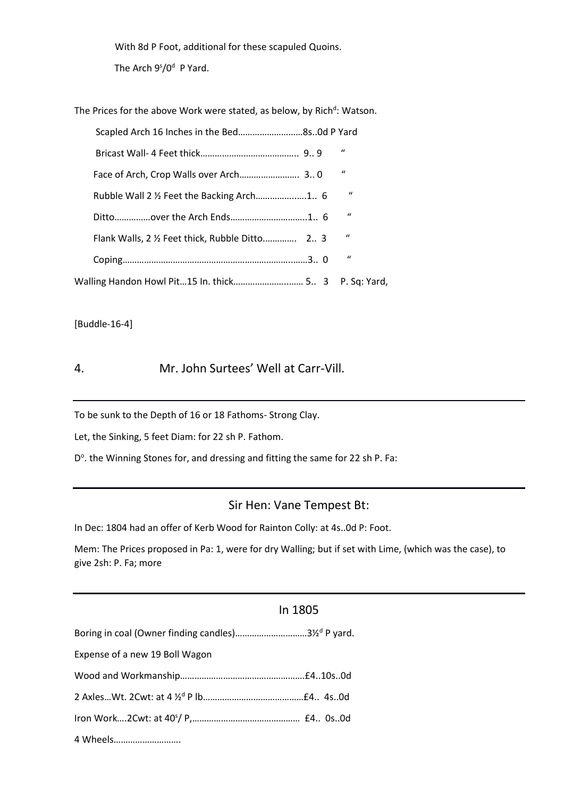With 8d P Foot, additional for these scapuled Quoins.

The Arch 9<sup>s</sup>/0<sup>d</sup> P Yard.

The Prices for the above Work were stated, as below, by Rich<sup>d</sup>: Watson.

| Scapled Arch 16 Inches in the Bed8s0d P Yard         |  |              |  |
|------------------------------------------------------|--|--------------|--|
|                                                      |  | $\mathbf{u}$ |  |
|                                                      |  | $\mathbf{u}$ |  |
|                                                      |  | $\mathbf{u}$ |  |
|                                                      |  | $\mathbf{u}$ |  |
|                                                      |  | $\mathbf{u}$ |  |
|                                                      |  | $\mathbf{u}$ |  |
| Walling Handon Howl Pit15 In. thick 5 3 P. Sq: Yard, |  |              |  |

[Buddle-16-4]

## 4. Mr. John Surtees' Well at Carr-Vill.

To be sunk to the Depth of 16 or 18 Fathoms- Strong Clay.

Let, the Sinking, 5 feet Diam: for 22 sh P. Fathom.

D<sup>o</sup>. the Winning Stones for, and dressing and fitting the same for 22 sh P. Fa:

## Sir Hen: Vane Tempest Bt:

In Dec: 1804 had an offer of Kerb Wood for Rainton Colly: at 4s..0d P: Foot.

Mem: The Prices proposed in Pa: 1, were for dry Walling; but if set with Lime, (which was the case), to give 2sh: P. Fa; more

## In 1805

| Boring in coal (Owner finding candles)31/2d P yard. |  |
|-----------------------------------------------------|--|
| Expense of a new 19 Boll Wagon                      |  |
|                                                     |  |
|                                                     |  |
|                                                     |  |
| 4 Wheels                                            |  |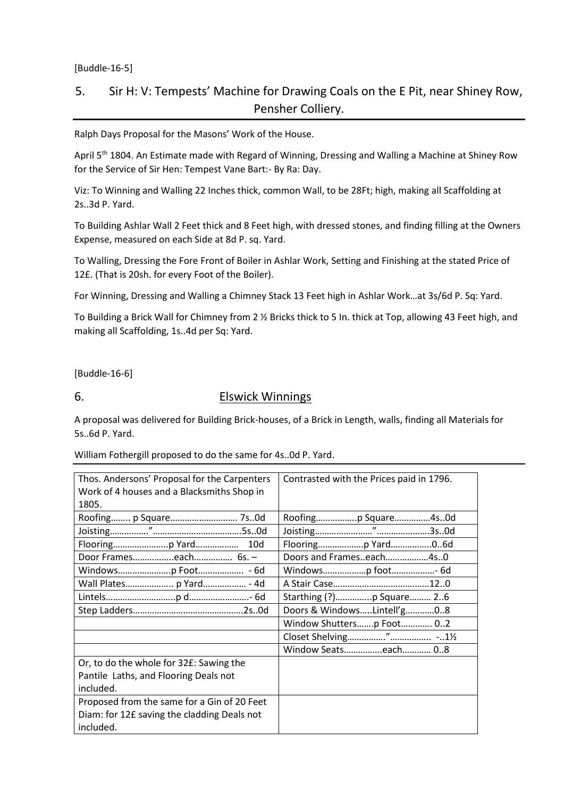#### [Buddle-16-5]

# 5. Sir H: V: Tempests' Machine for Drawing Coals on the E Pit, near Shiney Row, Pensher Colliery.

Ralph Days Proposal for the Masons' Work of the House.

April 5<sup>th</sup> 1804. An Estimate made with Regard of Winning, Dressing and Walling a Machine at Shiney Row for the Service of Sir Hen: Tempest Vane Bart:- By Ra: Day.

Viz: To Winning and Walling 22 Inches thick, common Wall, to be 28Ft; high, making all Scaffolding at 2s..3d P. Yard.

To Building Ashlar Wall 2 Feet thick and 8 Feet high, with dressed stones, and finding filling at the Owners Expense, measured on each Side at 8d P. sq. Yard.

To Walling, Dressing the Fore Front of Boiler in Ashlar Work, Setting and Finishing at the stated Price of 12£. (That is 20sh. for every Foot of the Boiler).

For Winning, Dressing and Walling a Chimney Stack 13 Feet high in Ashlar Work…at 3s/6d P. Sq: Yard.

To Building a Brick Wall for Chimney from 2 ½ Bricks thick to 5 In. thick at Top, allowing 43 Feet high, and making all Scaffolding, 1s..4d per Sq: Yard.

[Buddle-16-6]

### 6. Elswick Winnings

A proposal was delivered for Building Brick-houses, of a Brick in Length, walls, finding all Materials for 5s..6d P. Yard.

| Thos. Andersons' Proposal for the Carpenters<br>Work of 4 houses and a Blacksmiths Shop in<br>1805.     | Contrasted with the Prices paid in 1796. |
|---------------------------------------------------------------------------------------------------------|------------------------------------------|
| Roofing p Square 7s0d                                                                                   | Roofingp Square4s0d                      |
|                                                                                                         |                                          |
|                                                                                                         |                                          |
| Door Frameseach 6s. -                                                                                   | Doors and Frameseach4s0                  |
|                                                                                                         | Windowsp foot- 6d                        |
| Wall Plates p Yard - 4d                                                                                 |                                          |
|                                                                                                         | Starthing (?)p Square 26                 |
|                                                                                                         | Doors & WindowsLintell'g08               |
|                                                                                                         | Window Shuttersp Foot 02                 |
|                                                                                                         |                                          |
|                                                                                                         | Window Seatseach 08                      |
| Or, to do the whole for 32£: Sawing the<br>Pantile Laths, and Flooring Deals not<br>included.           |                                          |
| Proposed from the same for a Gin of 20 Feet<br>Diam: for 12£ saving the cladding Deals not<br>included. |                                          |

William Fothergill proposed to do the same for 4s..0d P. Yard.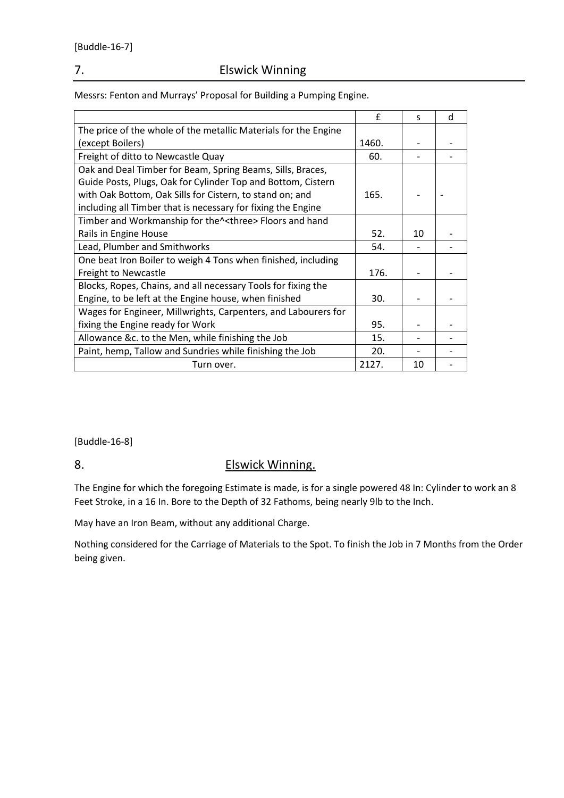## 7. Elswick Winning

Messrs: Fenton and Murrays' Proposal for Building a Pumping Engine.

|                                                                 | £     | S  | d |
|-----------------------------------------------------------------|-------|----|---|
| The price of the whole of the metallic Materials for the Engine |       |    |   |
| (except Boilers)                                                | 1460. |    |   |
| Freight of ditto to Newcastle Quay                              | 60.   |    |   |
| Oak and Deal Timber for Beam, Spring Beams, Sills, Braces,      |       |    |   |
| Guide Posts, Plugs, Oak for Cylinder Top and Bottom, Cistern    |       |    |   |
| with Oak Bottom, Oak Sills for Cistern, to stand on; and        | 165.  |    |   |
| including all Timber that is necessary for fixing the Engine    |       |    |   |
| Timber and Workmanship for the^ <three> Floors and hand</three> |       |    |   |
| Rails in Engine House                                           | 52.   | 10 |   |
| Lead, Plumber and Smithworks                                    | 54.   |    |   |
| One beat Iron Boiler to weigh 4 Tons when finished, including   |       |    |   |
| <b>Freight to Newcastle</b>                                     | 176.  |    |   |
| Blocks, Ropes, Chains, and all necessary Tools for fixing the   |       |    |   |
| Engine, to be left at the Engine house, when finished           | 30.   |    |   |
| Wages for Engineer, Millwrights, Carpenters, and Labourers for  |       |    |   |
| fixing the Engine ready for Work                                | 95.   |    |   |
| Allowance &c. to the Men, while finishing the Job               | 15.   |    |   |
| Paint, hemp, Tallow and Sundries while finishing the Job        | 20.   |    |   |
| Turn over.                                                      | 2127. | 10 |   |

[Buddle-16-8]

# 8. Elswick Winning.

The Engine for which the foregoing Estimate is made, is for a single powered 48 In: Cylinder to work an 8 Feet Stroke, in a 16 In. Bore to the Depth of 32 Fathoms, being nearly 9lb to the Inch.

May have an Iron Beam, without any additional Charge.

Nothing considered for the Carriage of Materials to the Spot. To finish the Job in 7 Months from the Order being given.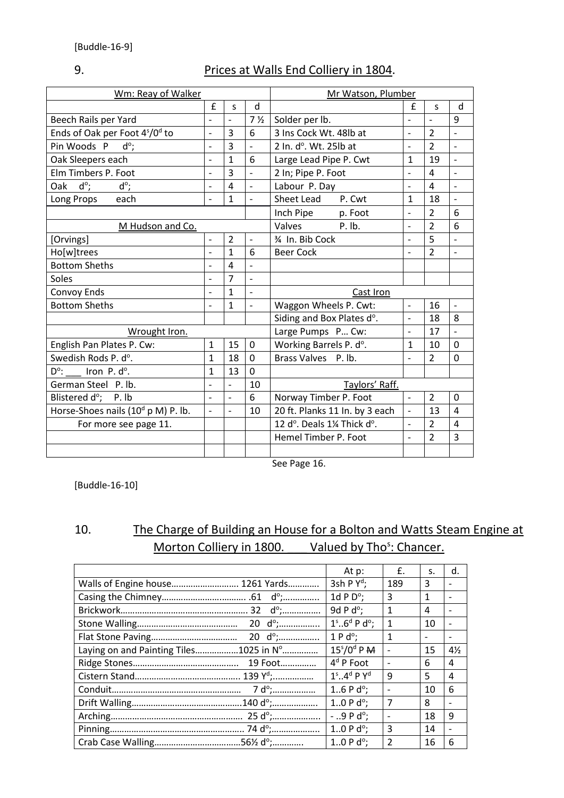# 9. Prices at Walls End Colliery in 1804.

| Wm: Reay of Walker                                     |                          |                |                | Mr Watson, Plumber             |                          |                |                          |
|--------------------------------------------------------|--------------------------|----------------|----------------|--------------------------------|--------------------------|----------------|--------------------------|
|                                                        | £                        | S              | d              |                                | £                        | S              | d                        |
| Beech Rails per Yard                                   |                          | $\overline{a}$ | 7 <sub>2</sub> | Solder per lb.                 | $\overline{a}$           | $\overline{a}$ | 9                        |
| Ends of Oak per Foot 4 <sup>s</sup> /0 <sup>d</sup> to | $\overline{\phantom{0}}$ | 3              | 6              | 3 Ins Cock Wt. 48lb at         | $\overline{a}$           | $\overline{2}$ |                          |
| $d^{\circ}$ ;<br>Pin Woods P                           | $\overline{\phantom{0}}$ | 3              | $\frac{1}{2}$  | 2 In. d°. Wt. 25lb at          | $\overline{a}$           | $\overline{2}$ | $\blacksquare$           |
| Oak Sleepers each                                      | $\overline{\phantom{0}}$ | $\overline{1}$ | 6              | Large Lead Pipe P. Cwt         | $\mathbf{1}$             | 19             |                          |
| Elm Timbers P. Foot                                    | $\overline{a}$           | $\overline{3}$ |                | 2 In; Pipe P. Foot             | $\overline{a}$           | 4              |                          |
| $d^{\circ}$ ;<br>$d^{\circ}$ ;<br>Oak                  | $\overline{\phantom{0}}$ | 4              | $\blacksquare$ | Labour P. Day                  | $\overline{\phantom{m}}$ | 4              | $\overline{\phantom{m}}$ |
| each<br>Long Props                                     | $\overline{\phantom{0}}$ | $\mathbf{1}$   | $\overline{a}$ | Sheet Lead<br>P. Cwt           | $\mathbf{1}$             | 18             |                          |
|                                                        |                          |                |                | Inch Pipe<br>p. Foot           | $\overline{a}$           | $\overline{2}$ | 6                        |
| M Hudson and Co.                                       |                          |                |                | Valves<br>$P.$ lb.             | $\overline{a}$           | $\overline{2}$ | 6                        |
| [Orvings]                                              | $\overline{\phantom{0}}$ | $\overline{2}$ | $\frac{1}{2}$  | 3⁄4 In. Bib Cock               |                          | 5              |                          |
| Ho[w]trees                                             | $\overline{a}$           | $\mathbf{1}$   | 6              | <b>Beer Cock</b>               | $\overline{a}$           | $\overline{2}$ | $\overline{a}$           |
| <b>Bottom Sheths</b>                                   | $\overline{\phantom{0}}$ | $\overline{a}$ |                |                                |                          |                |                          |
| Soles                                                  | $\overline{\phantom{0}}$ | $\overline{7}$ |                |                                |                          |                |                          |
| Convoy Ends                                            | $\overline{a}$           | $\mathbf{1}$   | $\overline{a}$ | Cast Iron                      |                          |                |                          |
| <b>Bottom Sheths</b>                                   | $\overline{\phantom{0}}$ | $\mathbf{1}$   | $\frac{1}{2}$  | Waggon Wheels P. Cwt:          | $\blacksquare$           | 16             | $\overline{\phantom{a}}$ |
|                                                        |                          |                |                | Siding and Box Plates d°.      | $\overline{a}$           | 18             | 8                        |
| Wrought Iron.                                          |                          |                |                | Large Pumps P Cw:              | $\overline{a}$           | 17             | $\overline{a}$           |
| English Pan Plates P. Cw:                              | $\mathbf{1}$             | 15             | 0              | Working Barrels P. d°.         | $\mathbf{1}$             | 10             | 0                        |
| Swedish Rods P. d°.                                    | $\mathbf{1}$             | 18             | $\Omega$       | Brass Valves P. lb.            |                          | $\overline{2}$ | $\Omega$                 |
| $D^{\circ}$ : Iron P. d°.                              | $\mathbf{1}$             | 13             | $\Omega$       |                                |                          |                |                          |
| German Steel P. lb.                                    | $\overline{\phantom{0}}$ | $\overline{a}$ | 10             | Taylors' Raff.                 |                          |                |                          |
| Blistered d°; P. lb                                    | $\overline{a}$           | $\overline{a}$ | 6              | Norway Timber P. Foot          | $\overline{a}$           | $\overline{2}$ | $\mathbf 0$              |
| Horse-Shoes nails $(10^d \text{ p M})$ P. lb.          | $\overline{\phantom{0}}$ | $\overline{a}$ | 10             | 20 ft. Planks 11 In. by 3 each | $\frac{1}{2}$            | 13             | 4                        |
| For more see page 11.                                  |                          |                |                | 12 d°. Deals 1¼ Thick d°.      | $\overline{a}$           | $\overline{2}$ | $\overline{4}$           |
|                                                        |                          |                |                | Hemel Timber P. Foot           | $\overline{a}$           | $\overline{2}$ | $\overline{3}$           |
|                                                        |                          |                |                |                                |                          |                |                          |

See Page 16.

[Buddle-16-10]

# 10. The Charge of Building an House for a Bolton and Watts Steam Engine at Morton Colliery in 1800. Valued by Tho<sup>s</sup>: Chancer.

|                                        | At p:                                | £.                           | S.                           | d.                       |
|----------------------------------------|--------------------------------------|------------------------------|------------------------------|--------------------------|
| Walls of Engine house 1261 Yards       | 3sh P $Y^d$ ;                        | 189                          | 3                            |                          |
|                                        | 1d P $D^{\circ}$ ;                   | 3                            | 1                            |                          |
|                                        | 9d P $d^{\circ}$ ;                   | 1                            | 4                            |                          |
| 20 $d^{\circ}$ ;                       | $1s \cdot .6d$ P d <sup>o</sup> ;    | 1                            | 10                           |                          |
| 20 d <sup>o</sup> ;                    | $1 P d^{\circ}$ ;                    | $\mathbf{1}$                 | $\qquad \qquad \blacksquare$ | $\overline{\phantom{a}}$ |
| Laying on and Painting Tiles1025 in N° | $15s/0d$ P M                         |                              | 15                           | $4\frac{1}{2}$           |
| 19 Foot                                | 4 <sup>d</sup> P Foot                | $\overline{\phantom{a}}$     | 6                            | 4                        |
|                                        | $1s$ 4 <sup>d</sup> P Y <sup>d</sup> | 9                            | 5                            | 4                        |
| $7 d^{\circ}$ ;                        | 16 P $d^{\circ}$ ;                   | $\qquad \qquad \blacksquare$ | 10                           | 6                        |
|                                        | 10 P $d^{\circ}$ ;                   | $\overline{7}$               | 8                            |                          |
|                                        | $-.9 P d^{\circ}$ ;                  |                              | 18                           | 9                        |
|                                        | 10 P $d^{\circ}$ ;                   | 3                            | 14                           |                          |
|                                        | 10 P $d^{\circ}$ ;                   | $\overline{2}$               | 16                           | 6                        |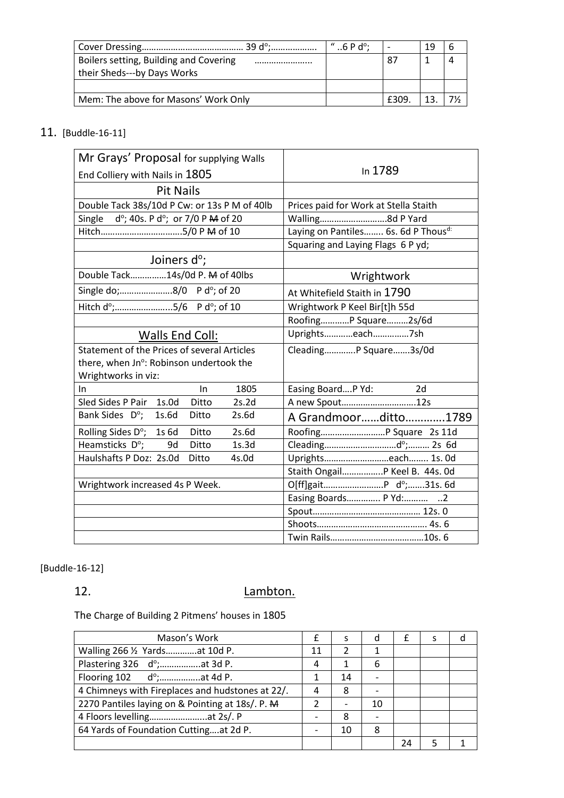|                                                                       | $^{\prime\prime}$ 6 P d <sup>o</sup> : |    | 19 |  |
|-----------------------------------------------------------------------|----------------------------------------|----|----|--|
| Boilers setting, Building and Covering<br>their Sheds---by Days Works |                                        | 87 |    |  |
|                                                                       |                                        |    |    |  |
| Mem: The above for Masons' Work Only                                  |                                        |    |    |  |

# 11. [Buddle-16-11]

| Mr Grays' Proposal for supplying Walls                        |                                       |
|---------------------------------------------------------------|---------------------------------------|
| End Colliery with Nails in 1805                               | In 1789                               |
| <b>Pit Nails</b>                                              |                                       |
| Double Tack 38s/10d P Cw: or 13s P M of 40lb                  | Prices paid for Work at Stella Staith |
| $d^{\circ}$ ; 40s. P $d^{\circ}$ ; or 7/0 P M of 20<br>Single | Walling8d P Yard                      |
| Hitch5/0 P M of 10                                            | Laying on Pantiles 6s. 6d P Thousd:   |
|                                                               | Squaring and Laying Flags 6 P yd;     |
| Joiners d <sup>o</sup> ;                                      |                                       |
| Double Tack14s/0d P. M of 40lbs                               | Wrightwork                            |
| Single do;8/0 P d°; of 20                                     | At Whitefield Staith in 1790          |
| Hitch d°;5/6 P d°; of 10                                      | Wrightwork P Keel Bir[t]h 55d         |
|                                                               | RoofingP Square2s/6d                  |
| Walls End Coll:                                               | Uprightseach7sh                       |
| Statement of the Prices of several Articles                   | CleadingP Square3s/0d                 |
| there, when Jn°: Robinson undertook the                       |                                       |
| Wrightworks in viz:                                           |                                       |
| 1805<br>In<br>In                                              | Easing BoardP Yd:<br>2d               |
| Sled Sides P Pair 1s.0d<br>Ditto<br>2s.2d                     | A new Spout12s                        |
| Bank Sides D°;<br>2s.6d<br>1s.6d<br>Ditto                     | A Grandmoorditto1789                  |
| Rolling Sides D°; 1s 6d<br>2s.6d<br>Ditto                     | Roofing P Square 2s 11d               |
| Heamsticks D°;<br>Ditto<br>1s.3d<br>9d                        |                                       |
| Haulshafts P Doz: 2s.0d<br>Ditto<br>4s.0d                     | Uprightseach 1s. 0d                   |
|                                                               | Staith Ongail P Keel B. 44s. Od       |
| Wrightwork increased 4s P Week.                               |                                       |
|                                                               | Easing Boards P Yd: 2                 |
|                                                               |                                       |
|                                                               |                                       |
|                                                               |                                       |

# [Buddle-16-12]

# 12. Lambton.

The Charge of Building 2 Pitmens' houses in 1805

| Mason's Work                                      | f  | S  | d  |    | S |  |
|---------------------------------------------------|----|----|----|----|---|--|
| Walling 266 1/2 Yardsat 10d P.                    | 11 |    |    |    |   |  |
| Plastering 326 d°;     at 3d P.                   |    |    | 6  |    |   |  |
| Flooring $102$ d°;     at 4d P.                   |    | 14 |    |    |   |  |
| 4 Chimneys with Fireplaces and hudstones at 22/.  |    | 8  |    |    |   |  |
| 2270 Pantiles laying on & Pointing at 18s/. P. M. |    |    | 10 |    |   |  |
|                                                   |    | 8  |    |    |   |  |
| 64 Yards of Foundation Cuttingat 2d P.            |    | 10 | 8  |    |   |  |
|                                                   |    |    |    | 24 |   |  |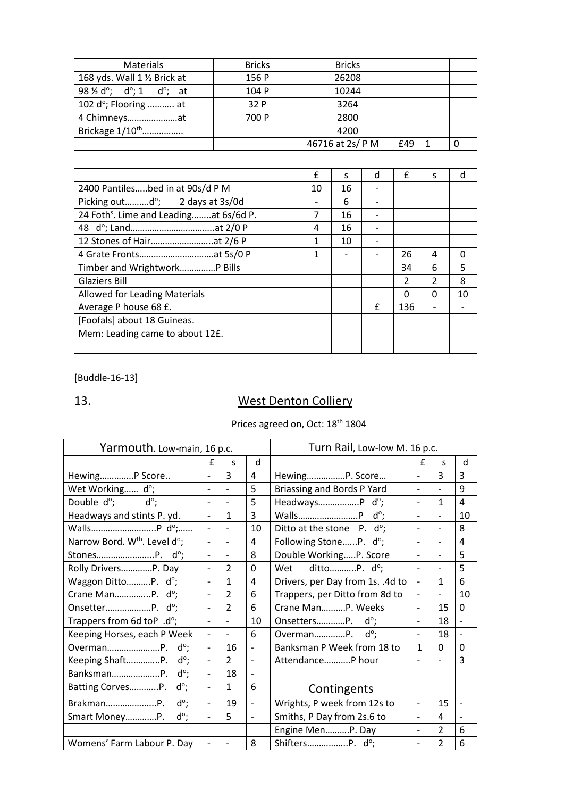| <b>Materials</b>                                                         | <b>Bricks</b> | <b>Bricks</b>    |     |  |
|--------------------------------------------------------------------------|---------------|------------------|-----|--|
| 168 yds. Wall 1 1/2 Brick at                                             | 156 P         | 26208            |     |  |
| 98 $\frac{1}{2}$ d <sup>o</sup> ; d <sup>o</sup> ; 1 d <sup>o</sup> ; at | 104 P         | 10244            |     |  |
| 102 d°; Flooring  at                                                     | 32 P          | 3264             |     |  |
| 4 Chimneysat                                                             | 700 P         | 2800             |     |  |
| Brickage 1/10 <sup>th</sup>                                              |               | 4200             |     |  |
|                                                                          |               | 46716 at 2s/ P M | £49 |  |

|                                                    | £  | S  | d | £             | S             | d  |
|----------------------------------------------------|----|----|---|---------------|---------------|----|
| 2400 Pantilesbed in at 90s/d P M                   | 10 | 16 |   |               |               |    |
| Picking out $d^{\circ}$ ; 2 days at 3s/0d          |    | 6  |   |               |               |    |
| 24 Foth <sup>s</sup> . Lime and Leadingat 6s/6d P. | 7  | 16 |   |               |               |    |
|                                                    | 4  | 16 |   |               |               |    |
|                                                    | 1  | 10 |   |               |               |    |
|                                                    | 1  |    |   | 26            | 4             | 0  |
| Timber and Wrightwork P Bills                      |    |    |   | 34            | 6             | 5  |
| <b>Glaziers Bill</b>                               |    |    |   | $\mathcal{P}$ | $\mathcal{P}$ | 8  |
| Allowed for Leading Materials                      |    |    |   | 0             | 0             | 10 |
| Average P house 68 £.                              |    |    | £ | 136           |               |    |
| [Foofals] about 18 Guineas.                        |    |    |   |               |               |    |
| Mem: Leading came to about 12£.                    |    |    |   |               |               |    |
|                                                    |    |    |   |               |               |    |

[Buddle-16-13]

# 13. West Denton Colliery

# Prices agreed on, Oct: 18<sup>th</sup> 1804

| Yarmouth. Low-main, 16 p.c.              | Turn Rail, Low-low M. 16 p.c. |                          |                          |                                     |                          |                          |                          |
|------------------------------------------|-------------------------------|--------------------------|--------------------------|-------------------------------------|--------------------------|--------------------------|--------------------------|
|                                          | f                             | S                        | d                        |                                     | £                        | S                        | d                        |
| HewingP Score                            | $\overline{a}$                | 3                        | 4                        | HewingP. Score                      | $\overline{a}$           | 3                        | 3                        |
| Wet Working do;                          | $\overline{a}$                | $\overline{\phantom{a}}$ | 5                        | Briassing and Bords P Yard          | $\overline{\phantom{a}}$ | $\frac{1}{2}$            | 9                        |
| Double d <sup>o</sup> ;<br>$d^{\circ}$   | $\overline{a}$                | $\overline{a}$           | 5                        | HeadwaysP d°;                       | $\overline{a}$           | $\mathbf{1}$             | $\overline{4}$           |
| Headways and stints P. yd.               | $\overline{a}$                | $\mathbf{1}$             | 3                        |                                     |                          | $\overline{a}$           | 10                       |
|                                          | $\overline{a}$                |                          | 10                       | Ditto at the stone $P. d^{\circ}$ ; | $\overline{\phantom{0}}$ | $\overline{\phantom{a}}$ | 8                        |
| Narrow Bord. W <sup>th</sup> . Level d°; | $\overline{a}$                | $\overline{a}$           | 4                        | Following StoneP. do;               | $\overline{a}$           | $\overline{\phantom{a}}$ | 4                        |
|                                          | $\overline{\phantom{0}}$      | $\blacksquare$           | 8                        | Double WorkingP. Score              | $\overline{\phantom{a}}$ | $\overline{\phantom{0}}$ | 5                        |
| Rolly DriversP. Day                      | $\overline{a}$                | $\overline{2}$           | $\mathbf 0$              | Wet<br>dittoP. do;                  | $\overline{\phantom{0}}$ | $\overline{\phantom{0}}$ | 5                        |
| Waggon DittoP. d°;                       | $\overline{a}$                | $\mathbf{1}$             | $\overline{4}$           | Drivers, per Day from 1s. .4d to    | $\overline{a}$           | $\mathbf{1}$             | 6                        |
| Crane ManP. d°;                          | $\overline{a}$                | $\overline{2}$           | 6                        | Trappers, per Ditto from 8d to      | $\overline{a}$           | $\overline{a}$           | 10                       |
|                                          | $\overline{a}$                | $\overline{2}$           | 6                        | Crane ManP. Weeks                   | $\overline{a}$           | 15                       | 0                        |
| Trappers from 6d toP .d°;                | $\overline{a}$                |                          | 10                       | $d^{\circ}$ ;<br>OnsettersP.        | $\overline{a}$           | 18                       | $\overline{\phantom{0}}$ |
| Keeping Horses, each P Week              | $\overline{\phantom{0}}$      | $\overline{\phantom{0}}$ | 6                        | $d^{\circ}$ ;<br>OvermanP.          | $\frac{1}{2}$            | 18                       | $\frac{1}{2}$            |
| $d^{\circ}$<br>OvermanP.                 | $\overline{a}$                | 16                       | $\blacksquare$           | Banksman P Week from 18 to          | $\mathbf{1}$             | 0                        | 0                        |
| Keeping ShaftP.<br>$d^{\circ}$           | $\overline{a}$                | $\overline{2}$           | $\blacksquare$           | AttendanceP hour                    | $\overline{a}$           | $\overline{a}$           | 3                        |
| $d^{\circ}$ ;<br>BanksmanP.              | $\overline{a}$                | 18                       | $\overline{a}$           |                                     |                          |                          |                          |
| Batting CorvesP.<br>$d^{\circ}$ ;        | $\overline{a}$                | $\mathbf{1}$             | 6                        | Contingents                         |                          |                          |                          |
| $d^{\circ}$ ;<br>BrakmanP.               | $\overline{a}$                | 19                       | $\overline{a}$           | Wrights, P week from 12s to         | $\overline{\phantom{0}}$ | 15                       | $\overline{\phantom{0}}$ |
| d°;<br>Smart MoneyP.                     | $\overline{a}$                | 5                        | $\overline{\phantom{m}}$ | Smiths, P Day from 2s.6 to          | $\overline{\phantom{0}}$ | 4                        | $\overline{a}$           |
|                                          |                               |                          |                          | Engine MenP. Day                    | $\overline{a}$           | $\overline{2}$           | 6                        |
| Womens' Farm Labour P. Day               | $\overline{\phantom{0}}$      | $\overline{\phantom{a}}$ | 8                        | ShiftersP. do;                      | $\overline{a}$           | $\overline{2}$           | 6                        |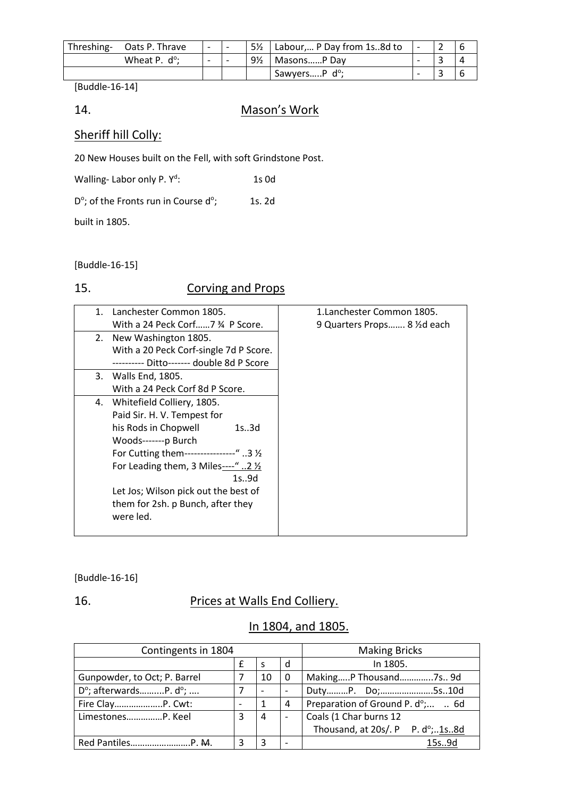| Threshing- Oats P. Thrave | $\overline{\phantom{0}}$ |                | 5 <sup>1/2</sup>   Labour, P Day from 1s8d to |  |  |
|---------------------------|--------------------------|----------------|-----------------------------------------------|--|--|
| Wheat P. $d^{\circ}$ :    | $\overline{\phantom{0}}$ | $9\frac{1}{2}$ | I MasonsP Day                                 |  |  |
|                           |                          |                | SawyersP d <sup>o</sup> ;                     |  |  |

[Buddle-16-14]

## 14. Mason's Work

# Sheriff hill Colly:

20 New Houses built on the Fell, with soft Grindstone Post.

| Walling-Labor only P. Y <sup>d</sup> : | $1s$ Od |
|----------------------------------------|---------|
|                                        |         |

 $D^{\circ}$ ; of the Fronts run in Course d°; 1s. 2d

built in 1805.

[Buddle-16-15]

# 15. Corving and Props

| $\mathbf{1}$ . | Lanchester Common 1805.                        | 1.Lanchester Common 1805.    |
|----------------|------------------------------------------------|------------------------------|
|                | With a 24 Peck Corf 7 34 P Score.              | 9 Quarters Props 8 1/2d each |
|                | 2. New Washington 1805.                        |                              |
|                | With a 20 Peck Corf-single 7d P Score.         |                              |
|                | ---------- Ditto------- double 8d P Score      |                              |
|                | 3. Walls End, 1805.                            |                              |
|                | With a 24 Peck Corf 8d P Score.                |                              |
|                | 4. Whitefield Colliery, 1805.                  |                              |
|                | Paid Sir. H. V. Tempest for                    |                              |
|                | his Rods in Chopwell<br>1s.3d                  |                              |
|                | Woods-------p Burch                            |                              |
|                | For Cutting them----------------" 3 1/2        |                              |
|                | For Leading them, 3 Miles----" 2 $\frac{1}{2}$ |                              |
|                | 1s9d                                           |                              |
|                | Let Jos; Wilson pick out the best of           |                              |
|                | them for 2sh. p Bunch, after they              |                              |
|                | were led.                                      |                              |
|                |                                                |                              |

## [Buddle-16-16]

# 16. Prices at Walls End Colliery.

# In 1804, and 1805.

| Contingents in 1804                      | <b>Making Bricks</b>     |    |                          |                                  |
|------------------------------------------|--------------------------|----|--------------------------|----------------------------------|
|                                          |                          |    | d                        | In 1805.                         |
| Gunpowder, to Oct; P. Barrel             |                          | 10 | 0                        | MakingP Thousand7s 9d            |
| $D^{\circ}$ ; afterwardsP. $d^{\circ}$ ; |                          |    | $\overline{\phantom{0}}$ | DutyP. Do;5s10d                  |
| Fire ClayP. Cwt:                         | $\overline{\phantom{0}}$ |    | 4                        | Preparation of Ground P. d°;  6d |
| LimestonesP. Keel                        | 3                        | 4  |                          | Coals (1 Char burns 12           |
|                                          |                          |    |                          | Thousand, at 20s/. P P. d°;1s8d  |
|                                          |                          | ੨  | $\overline{\phantom{0}}$ | 15s9d                            |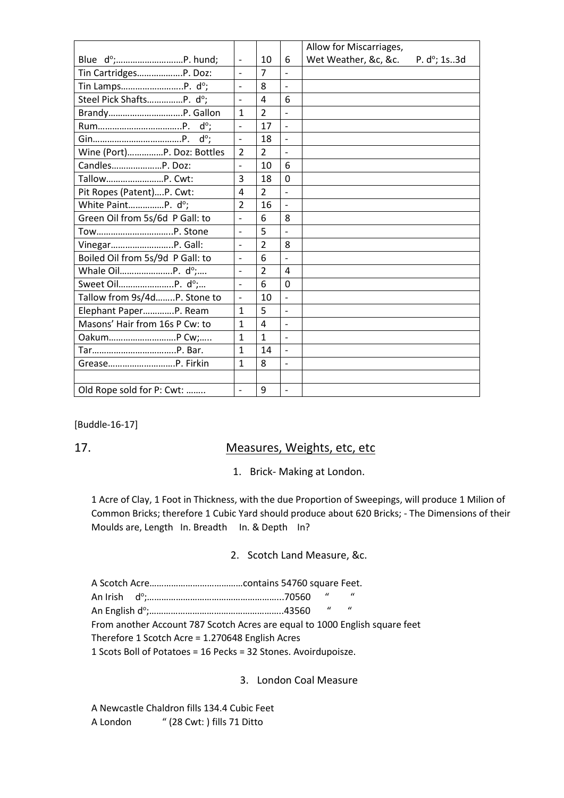|                                  |                              |                |                              | Allow for Miscarriages,             |
|----------------------------------|------------------------------|----------------|------------------------------|-------------------------------------|
|                                  | $\overline{\phantom{a}}$     | 10             | 6                            | Wet Weather, &c, &c.<br>P. d°; 1s3d |
| Tin CartridgesP. Doz:            | $\overline{\phantom{a}}$     | $\overline{7}$ |                              |                                     |
| Tin LampsP. d°;                  | $\overline{a}$               | 8              | $\overline{a}$               |                                     |
| Steel Pick ShaftsP. do;          | $\overline{a}$               | 4              | 6                            |                                     |
|                                  | $\mathbf{1}$                 | $\overline{2}$ | $\frac{1}{2}$                |                                     |
|                                  | $\overline{a}$               | 17             | $\overline{\phantom{0}}$     |                                     |
|                                  |                              | 18             |                              |                                     |
| Wine (Port)P. Doz: Bottles       | $\overline{2}$               | $\overline{2}$ | $\overline{a}$               |                                     |
| CandlesP. Doz:                   | $\qquad \qquad \blacksquare$ | 10             | 6                            |                                     |
| TallowP. Cwt:                    | 3                            | 18             | $\Omega$                     |                                     |
| Pit Ropes (Patent)P. Cwt:        | 4                            | $\overline{2}$ | $\overline{a}$               |                                     |
| White PaintP. d°;                | $\overline{2}$               | 16             | $\overline{a}$               |                                     |
| Green Oil from 5s/6d P Gall: to  | $\overline{\phantom{a}}$     | 6              | 8                            |                                     |
| TowP. Stone                      | $\overline{\phantom{a}}$     | 5              | $\overline{\phantom{m}}$     |                                     |
| VinegarP. Gall:                  |                              | $\overline{2}$ | 8                            |                                     |
| Boiled Oil from 5s/9d P Gall: to | $\frac{1}{2}$                | 6              | $\overline{\phantom{0}}$     |                                     |
|                                  | $\qquad \qquad -$            | $\overline{2}$ | 4                            |                                     |
|                                  | $\overline{a}$               | 6              | $\overline{0}$               |                                     |
| Tallow from 9s/4dP. Stone to     | $\overline{a}$               | 10             |                              |                                     |
| Elephant PaperP. Ream            | $\mathbf{1}$                 | 5              | $\frac{1}{2}$                |                                     |
| Masons' Hair from 16s P Cw: to   | $\mathbf{1}$                 | 4              | $\qquad \qquad \blacksquare$ |                                     |
|                                  | $\mathbf{1}$                 | $\mathbf{1}$   | $\qquad \qquad \blacksquare$ |                                     |
|                                  | $\mathbf{1}$                 | 14             |                              |                                     |
|                                  | $\mathbf{1}$                 | 8              | $\overline{\phantom{m}}$     |                                     |
|                                  |                              |                |                              |                                     |
| Old Rope sold for P: Cwt:        |                              | 9              | $\overline{a}$               |                                     |

[Buddle-16-17]

## 17. Measures, Weights, etc, etc

1. Brick- Making at London.

1 Acre of Clay, 1 Foot in Thickness, with the due Proportion of Sweepings, will produce 1 Milion of Common Bricks; therefore 1 Cubic Yard should produce about 620 Bricks; - The Dimensions of their Moulds are, Length In. Breadth In. & Depth In?

#### 2. Scotch Land Measure, &c.

|  | An Irish  dº;………………………………………………70560                                        |  | $\mathbf{u}$ $\mathbf{u}$ |  |  |
|--|-----------------------------------------------------------------------------|--|---------------------------|--|--|
|  |                                                                             |  | $\mathbf{u} = \mathbf{u}$ |  |  |
|  | From another Account 787 Scotch Acres are equal to 1000 English square feet |  |                           |  |  |
|  | Therefore 1 Scotch Acre = 1.270648 English Acres                            |  |                           |  |  |
|  | 1 Scots Boll of Potatoes = 16 Pecks = 32 Stones. Avoirdupoisze.             |  |                           |  |  |

3. London Coal Measure

A Newcastle Chaldron fills 134.4 Cubic Feet A London " (28 Cwt: ) fills 71 Ditto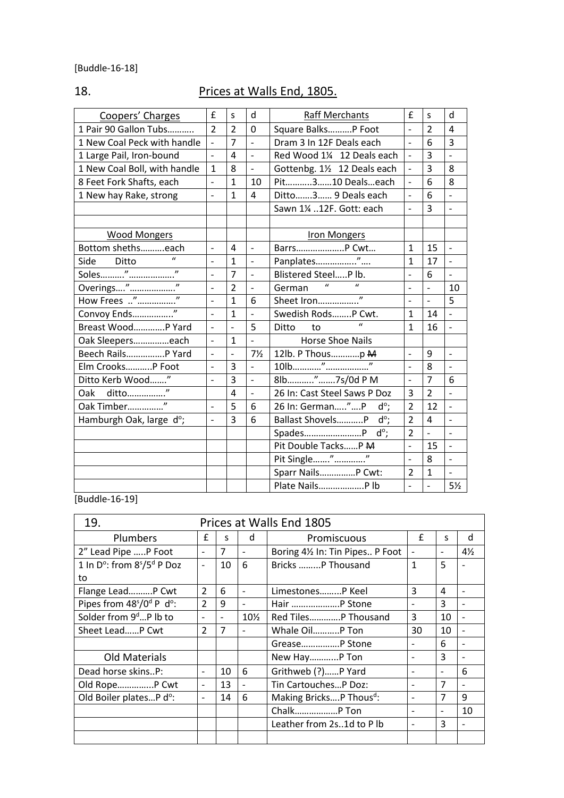# 18. Prices at Walls End, 1805.

|                              |                     |                                       |                                 |                                                                                                 |                | d                        |
|------------------------------|---------------------|---------------------------------------|---------------------------------|-------------------------------------------------------------------------------------------------|----------------|--------------------------|
|                              |                     | $\Omega$                              |                                 | $\overline{a}$                                                                                  |                | $\boldsymbol{\Lambda}$   |
| $\overline{a}$               |                     | $\frac{1}{2}$                         | Dram 3 In 12F Deals each        | $\Box$                                                                                          |                | $\overline{3}$           |
| $\overline{\phantom{0}}$     | 4                   | $\overline{a}$                        | Red Wood 1¼ 12 Deals each       | $\overline{\phantom{0}}$                                                                        | $\overline{3}$ | $\overline{a}$           |
| $\mathbf{1}$                 | 8                   | $\overline{a}$                        | Gottenbg. 11/2 12 Deals each    | $\overline{\phantom{a}}$                                                                        | 3              | 8                        |
| $\overline{a}$               | $\mathbf{1}$        | 10                                    | Pit310 Dealseach                | $\blacksquare$                                                                                  | 6              | 8                        |
| $\overline{a}$               | $\mathbf{1}$        | 4                                     | Ditto3 9 Deals each             | $\blacksquare$                                                                                  | 6              |                          |
|                              |                     |                                       | Sawn 1¼ 12F. Gott: each         | $\overline{a}$                                                                                  | 3              |                          |
|                              |                     |                                       |                                 |                                                                                                 |                |                          |
|                              |                     |                                       | Iron Mongers                    |                                                                                                 |                |                          |
| $\blacksquare$               | 4                   | $\frac{1}{2}$                         | BarrsP Cwt                      | $\mathbf{1}$                                                                                    | 15             | $\overline{a}$           |
| $\overline{a}$               | $\overline{1}$      | $\overline{a}$                        | Panplates"                      | $\overline{1}$                                                                                  | 17             |                          |
| $\overline{\phantom{0}}$     | $\overline{7}$      | $\overline{\phantom{0}}$              | Blistered SteelP lb.            | $\overline{a}$                                                                                  | 6              | $\overline{a}$           |
| $\overline{a}$               | $\overline{2}$      | $\overline{\phantom{0}}$              | German                          | $\frac{1}{2}$                                                                                   | $\overline{a}$ | 10                       |
| $\overline{a}$               | $\mathbf{1}$        | 6                                     |                                 | $\overline{a}$                                                                                  | $\overline{a}$ | 5                        |
| $\overline{a}$               | 1                   | $\overline{\phantom{0}}$              | Swedish RodsP Cwt.              | $\mathbf{1}$                                                                                    | 14             | $\overline{\phantom{m}}$ |
| $\overline{a}$               | $\overline{a}$      | 5                                     | $\mathbf{u}$<br>Ditto<br>to     | $\mathbf{1}$                                                                                    | 16             | $\overline{a}$           |
| $\blacksquare$               | $\mathbf{1}$        | $\overline{a}$                        | <b>Horse Shoe Nails</b>         |                                                                                                 |                |                          |
| $\overline{a}$               | $\overline{a}$      | $7\frac{1}{2}$                        |                                 | $\overline{a}$                                                                                  | 9              | $\overline{a}$           |
| $\overline{a}$               | 3                   | $\overline{\phantom{0}}$              | $\overline{v}$                  | $\blacksquare$                                                                                  | 8              | $\overline{a}$           |
| $\overline{a}$               | 3                   | $\overline{a}$                        |                                 | $\overline{a}$                                                                                  | $\overline{7}$ | 6                        |
|                              | 4                   | $\overline{a}$                        | 26 In: Cast Steel Saws P Doz    | 3                                                                                               | $\overline{2}$ | $\overline{a}$           |
| $\qquad \qquad \blacksquare$ | 5                   | 6                                     | 26 In: German"P<br>$d^{\circ}$  | $\overline{2}$                                                                                  | 12             |                          |
| $\overline{\phantom{0}}$     | 3                   | 6                                     | Ballast ShovelsP<br>$d^{\circ}$ | $\overline{2}$                                                                                  | 4              | $\overline{a}$           |
|                              |                     |                                       | $d^{\circ}$                     | $\overline{2}$                                                                                  | $\overline{a}$ |                          |
|                              |                     |                                       | Pit Double TacksP M             | $\overline{\phantom{a}}$                                                                        | 15             | $\overline{\phantom{0}}$ |
|                              |                     |                                       | $\overline{\boldsymbol{v}}$     | $\overline{a}$                                                                                  | 8              |                          |
|                              |                     |                                       | Sparr Nails P Cwt:              | $\overline{2}$                                                                                  | $\mathbf{1}$   | $\overline{a}$           |
|                              |                     |                                       | Plate Nails P lb                | $\overline{a}$                                                                                  |                | $5\frac{1}{2}$           |
|                              | £<br>$\overline{2}$ | S<br>$\overline{2}$<br>$\overline{7}$ | d                               | <b>Raff Merchants</b><br>Square BalksP Foot<br>12lb. P Thousp M<br>8lb"7s/0d P M<br>Pit Single" | £              | S<br>$\overline{2}$<br>6 |

[Buddle-16-19]

| 19.                                                | Prices at Walls End 1805 |                |                          |                                     |                          |                          |                |
|----------------------------------------------------|--------------------------|----------------|--------------------------|-------------------------------------|--------------------------|--------------------------|----------------|
| Plumbers                                           | £                        | S.             | d                        | £<br>Promiscuous                    |                          | S.                       | d              |
| 2" Lead Pipe P Foot                                | $\blacksquare$           | $\overline{7}$ | $\overline{\phantom{a}}$ | Boring 41/2 In: Tin Pipes P Foot    | $\overline{\phantom{a}}$ |                          | $4\frac{1}{2}$ |
| 1 In D°: from 8 <sup>5</sup> /5 <sup>d</sup> P Doz | $\blacksquare$           | 10             | 6                        | Bricks  P Thousand                  | $\mathbf{1}$             | 5                        |                |
| to                                                 |                          |                |                          |                                     |                          |                          |                |
| Flange LeadP Cwt                                   | $\mathcal{P}$            | 6              | $\overline{\phantom{a}}$ | LimestonesP Keel                    | 3                        | 4                        |                |
| Pipes from $48s/0d$ P d <sup>o</sup> :             | $\overline{2}$           | 9              |                          | Hair  P Stone                       |                          | 3                        |                |
| Solder from 9 <sup>d</sup> P lb to                 | $\overline{\phantom{a}}$ |                | $10\%$                   | Red Tiles P Thousand                | 3                        | 10                       |                |
| Sheet LeadP Cwt                                    | $\mathcal{P}$            | $\overline{7}$ | $\overline{\phantom{a}}$ | Whale OilP Ton                      | 30                       | 10                       |                |
|                                                    |                          |                |                          | Grease P Stone                      |                          | 6                        |                |
| <b>Old Materials</b>                               |                          |                |                          | New HayP Ton                        |                          | 3                        |                |
| Dead horse skinsP:                                 | $\overline{a}$           | 10             | 6                        | Grithweb (?)P Yard                  |                          |                          | 6              |
| Old RopeP Cwt                                      | $\overline{\phantom{a}}$ | 13             | $\overline{\phantom{0}}$ | Tin CartouchesP Doz:                |                          | $\overline{7}$           |                |
| Old Boiler platesP d°:                             | $\overline{\phantom{a}}$ | 14             | 6                        | Making BricksP Thous <sup>d</sup> : | $\overline{\phantom{0}}$ | $\overline{7}$           | 9              |
|                                                    |                          |                |                          | Chalk P Ton                         | $\overline{\phantom{0}}$ | $\overline{\phantom{0}}$ | 10             |
|                                                    |                          |                |                          | Leather from 2s1d to Plb            |                          | 3                        |                |
|                                                    |                          |                |                          |                                     |                          |                          |                |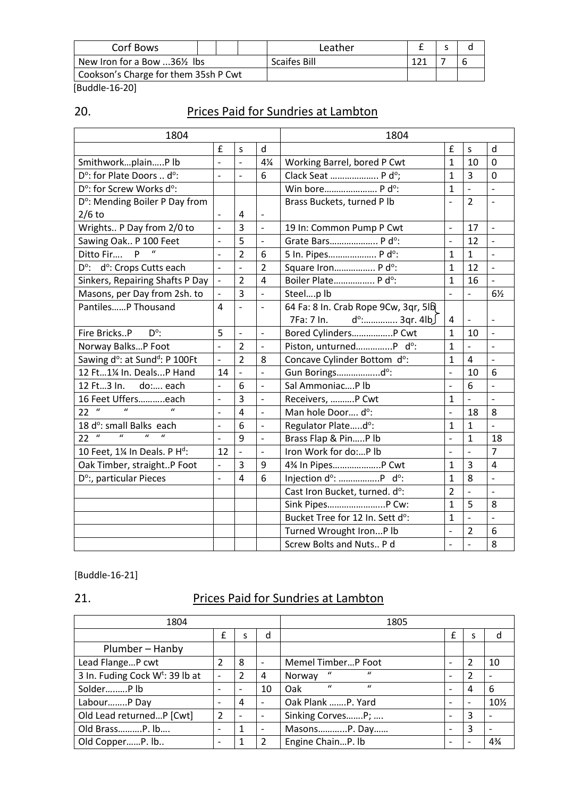| Corf Bows                            |  | Leather             |  |  |
|--------------------------------------|--|---------------------|--|--|
| New Iron for a Bow 36½ lbs           |  | <b>Scaifes Bill</b> |  |  |
| Cookson's Charge for them 35sh P Cwt |  |                     |  |  |

[Buddle-16-20]

| ۰, |  |
|----|--|
|    |  |

# Prices Paid for Sundries at Lambton

| 1804                                                                                     |                                 |                          |                          | 1804                                                 |                          |                          |                              |  |  |
|------------------------------------------------------------------------------------------|---------------------------------|--------------------------|--------------------------|------------------------------------------------------|--------------------------|--------------------------|------------------------------|--|--|
|                                                                                          | £                               | S                        | d                        |                                                      | £                        | S                        | d                            |  |  |
| SmithworkplainP lb                                                                       | $\overline{a}$                  | $\overline{a}$           | $4\frac{1}{4}$           | Working Barrel, bored P Cwt                          | $\mathbf{1}$             | 10                       | $\Omega$                     |  |  |
| D°: for Plate Doors  d°:                                                                 | $\overline{a}$                  | $\overline{a}$           | 6                        | Clack Seat  P d°;                                    | $\mathbf{1}$             | $\overline{3}$           | $\overline{0}$               |  |  |
| D°: for Screw Works d°:                                                                  |                                 |                          |                          | Win bore P d°:                                       | $\mathbf{1}$             | $\overline{\phantom{m}}$ | $\overline{a}$               |  |  |
| D°: Mending Boiler P Day from                                                            |                                 |                          |                          | Brass Buckets, turned P lb                           | $\blacksquare$           | $\overline{2}$           | $\overline{a}$               |  |  |
| $2/6$ to                                                                                 | $\frac{1}{2}$                   | 4                        |                          |                                                      |                          |                          |                              |  |  |
| Wrights P Day from 2/0 to                                                                | $\qquad \qquad \blacksquare$    | $\overline{3}$           | $\overline{\phantom{0}}$ | 19 In: Common Pump P Cwt                             | $\overline{\phantom{a}}$ | 17                       | $\overline{a}$               |  |  |
| Sawing Oak P 100 Feet                                                                    | $\qquad \qquad \blacksquare$    | 5                        | $\frac{1}{2}$            | Grate Bars P d°:                                     | $\blacksquare$           | 12                       | $\overline{\phantom{0}}$     |  |  |
| $\boldsymbol{u}$<br>P<br>Ditto Fir                                                       | $\overline{\phantom{0}}$        | $\overline{2}$           | 6                        | 5 In. Pipes P d°:                                    | $\mathbf{1}$             | $\mathbf{1}$             | $\overline{\phantom{0}}$     |  |  |
| D°: d°: Crops Cutts each                                                                 | $\overline{\phantom{m}}$        | $\frac{1}{2}$            | $\overline{2}$           | Square Iron P d°:                                    | $\mathbf{1}$             | 12                       | $\overline{a}$               |  |  |
| Sinkers, Repairing Shafts P Day                                                          | $\overline{\phantom{a}}$        | $\overline{2}$           | $\overline{4}$           | Boiler Plate P d°:                                   | $\mathbf{1}$             | 16                       | $\blacksquare$               |  |  |
| Masons, per Day from 2sh. to                                                             | $\overline{a}$                  | $\overline{3}$           | $\overline{a}$           | Steelplb                                             | $\overline{\phantom{a}}$ | $\overline{a}$           | $6\frac{1}{2}$               |  |  |
| PantilesP Thousand                                                                       | 4                               | $\overline{\phantom{a}}$ | $\blacksquare$           | 64 Fa: 8 In. Crab Rope 9Cw, 3qr, 5lb                 |                          |                          |                              |  |  |
|                                                                                          |                                 |                          |                          | $d^{\circ}$ : 3qr. 4lb<br>7Fa: 7 In.<br>4            |                          | $\overline{\phantom{a}}$ | $\qquad \qquad \blacksquare$ |  |  |
| Fire BricksP<br>$D^{\circ}$ :                                                            | 5                               | $\frac{1}{2}$            | $\overline{\phantom{a}}$ | Bored Cylinders P Cwt                                | $\mathbf{1}$             | 10                       | $\overline{\phantom{0}}$     |  |  |
| Norway BalksP Foot                                                                       | $\overline{a}$                  | $\overline{2}$           | $\overline{a}$           | Piston, unturnedP d°:                                | $\mathbf{1}$             |                          | $\overline{a}$               |  |  |
| Sawing d <sup>o</sup> : at Sund <sup>d</sup> : P 100Ft                                   | $\frac{1}{2}$                   | $\overline{2}$           | 8                        | Concave Cylinder Bottom d°:                          | $\mathbf{1}$             | 4                        | $\overline{a}$               |  |  |
| 12 Ft11/4 In. DealsP Hand                                                                | 14                              | $\overline{\phantom{a}}$ | $\frac{1}{2}$            | Gun Boringsdo:                                       | $\blacksquare$           | 10                       | 6                            |  |  |
| 12 Ft3 In.<br>do: each                                                                   | $\overline{a}$                  | 6                        | $\overline{a}$           | Sal AmmoniacP lb                                     | $\overline{a}$           | 6                        | $\overline{a}$               |  |  |
| 16 Feet Ufferseach                                                                       | $\overline{\phantom{a}}$        | $\overline{\mathbf{3}}$  | $\overline{a}$           | Receivers, P Cwt                                     | $\mathbf{1}$             |                          | $\Box$                       |  |  |
| $\boldsymbol{u}$<br>$\boldsymbol{u}$<br>$22$ "                                           | $\frac{1}{2}$                   | $\overline{4}$           | $\overline{\phantom{0}}$ | Man hole Door d°:                                    | $\blacksquare$           | 18                       | 8                            |  |  |
| 18 d°: small Balks each                                                                  | $\overline{a}$                  | 6                        | $\overline{a}$           | Regulator Plated°:                                   | $\mathbf{1}$             | $\mathbf{1}$             | $\overline{a}$               |  |  |
| $\overline{u}$<br>$\overline{u}$<br>$\boldsymbol{\mathcal{U}}$<br>$\boldsymbol{u}$<br>22 | $\overline{\phantom{0}}$        | 9                        | $\overline{\phantom{a}}$ | Brass Flap & PinP lb                                 | $\overline{a}$           | $\mathbf{1}$             | 18                           |  |  |
| 10 Feet, 1% In Deals. P H <sup>d</sup> :                                                 | 12                              | $\overline{\phantom{a}}$ | $\overline{\phantom{0}}$ | Iron Work for do:P lb                                | $\overline{\phantom{a}}$ | $\overline{\phantom{a}}$ | $\overline{7}$               |  |  |
| Oak Timber, straightP Foot                                                               | $\overline{\phantom{0}}$        | 3                        | 9                        | 4% In Pipes P Cwt                                    | $\mathbf{1}$             | $\overline{3}$           | $\overline{4}$               |  |  |
| D°:, particular Pieces                                                                   | $\qquad \qquad \blacksquare$    | $\overline{4}$           | 6                        | Injection d°: P d°:                                  | $\mathbf{1}$             | 8                        | $\overline{a}$               |  |  |
|                                                                                          |                                 |                          |                          | Cast Iron Bucket, turned. d°:                        | $\overline{2}$           | $\overline{\phantom{a}}$ | $\overline{\phantom{a}}$     |  |  |
|                                                                                          |                                 |                          |                          | Sink Pipes P Cw:                                     | $\mathbf{1}$             | 5                        | 8                            |  |  |
|                                                                                          | Bucket Tree for 12 In. Sett d°: |                          |                          |                                                      | $\mathbf{1}$             | $\overline{\phantom{0}}$ | $\overline{a}$               |  |  |
| Turned Wrought IronP lb                                                                  |                                 |                          |                          |                                                      | $\overline{\phantom{a}}$ | $\overline{2}$           | 6                            |  |  |
|                                                                                          |                                 |                          |                          | Screw Bolts and Nuts P d<br>$\overline{\phantom{a}}$ |                          |                          | 8                            |  |  |

### [Buddle-16-21]

# 21. Prices Paid for Sundries at Lambton

| 1804                                        |                          |   |                          | 1805                                     |                          |   |                 |  |
|---------------------------------------------|--------------------------|---|--------------------------|------------------------------------------|--------------------------|---|-----------------|--|
|                                             | f                        | s | d                        |                                          | S                        | a |                 |  |
| Plumber - Hanby                             |                          |   |                          |                                          |                          |   |                 |  |
| Lead FlangeP cwt                            | $\mathfrak{p}$           | 8 |                          | Memel TimberP Foot                       | $\overline{\phantom{0}}$ | 2 | 10              |  |
| 3 In. Fuding Cock W <sup>t</sup> : 39 lb at | $\overline{\phantom{a}}$ | 2 | 4                        | $\mathcal{U}$<br>$\mathcal{U}$<br>Norway | $\overline{\phantom{0}}$ | 2 |                 |  |
| SolderP lb                                  |                          |   | 10                       | $\mathbf{u}$<br>$\mathbf{u}$<br>Oak      |                          | 4 | 6               |  |
| LabourP Day                                 |                          | 4 | $\overline{\phantom{a}}$ | Oak Plank P. Yard                        |                          |   | $10\frac{1}{2}$ |  |
| Old Lead returnedP [Cwt]                    | $\overline{2}$           |   |                          | Sinking CorvesP;                         | $\overline{\phantom{0}}$ | 3 |                 |  |
| Old BrassP. lb                              | $\overline{\phantom{0}}$ | 1 | $\overline{\phantom{a}}$ | MasonsP. Day                             | $\overline{\phantom{0}}$ | 3 |                 |  |
| Old CopperP. lb                             |                          |   | 2                        | Engine ChainP. lb                        |                          |   | 4%              |  |